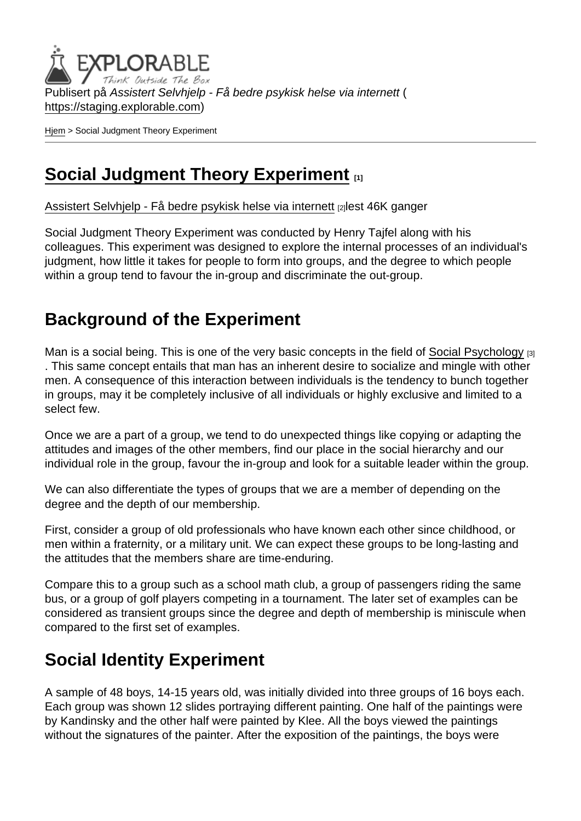Publisert på Assistert Selvhjelp - Få bedre psykisk helse via internett ( <https://staging.explorable.com>)

[Hjem](https://staging.explorable.com/) > Social Judgment Theory Experiment

# [Social Judgment Theory Experiment](https://staging.explorable.com/social-judgment-theory-experiment) [1]

[Assistert Selvhjelp - Få bedre psykisk helse via internett](https://staging.explorable.com/en) [2]lest 46K ganger

Social Judgment Theory Experiment was conducted by Henry Tajfel along with his colleagues. This experiment was designed to explore the internal processes of an individual's judgment, how little it takes for people to form into groups, and the degree to which people within a group tend to favour the in-group and discriminate the out-group.

#### Background of the Experiment

Man is a social being. This is one of the very basic concepts in the field of [Social Psychology](https://staging.explorable.com/social-psychology-experiments) [3] . This same concept entails that man has an inherent desire to socialize and mingle with other men. A consequence of this interaction between individuals is the tendency to bunch together in groups, may it be completely inclusive of all individuals or highly exclusive and limited to a select few.

Once we are a part of a group, we tend to do unexpected things like copying or adapting the attitudes and images of the other members, find our place in the social hierarchy and our individual role in the group, favour the in-group and look for a suitable leader within the group.

We can also differentiate the types of groups that we are a member of depending on the degree and the depth of our membership.

First, consider a group of old professionals who have known each other since childhood, or men within a fraternity, or a military unit. We can expect these groups to be long-lasting and the attitudes that the members share are time-enduring.

Compare this to a group such as a school math club, a group of passengers riding the same bus, or a group of golf players competing in a tournament. The later set of examples can be considered as transient groups since the degree and depth of membership is miniscule when compared to the first set of examples.

# Social Identity Experiment

A sample of 48 boys, 14-15 years old, was initially divided into three groups of 16 boys each. Each group was shown 12 slides portraying different painting. One half of the paintings were by Kandinsky and the other half were painted by Klee. All the boys viewed the paintings without the signatures of the painter. After the exposition of the paintings, the boys were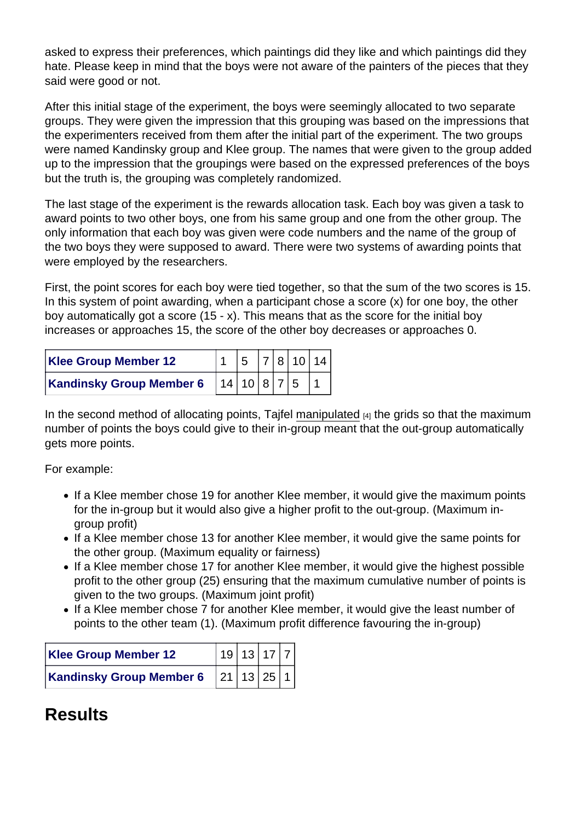asked to express their preferences, which paintings did they like and which paintings did they hate. Please keep in mind that the boys were not aware of the painters of the pieces that they said were good or not.

After this initial stage of the experiment, the boys were seemingly allocated to two separate groups. They were given the impression that this grouping was based on the impressions that the experimenters received from them after the initial part of the experiment. The two groups were named Kandinsky group and Klee group. The names that were given to the group added up to the impression that the groupings were based on the expressed preferences of the boys but the truth is, the grouping was completely randomized.

The last stage of the experiment is the rewards allocation task. Each boy was given a task to award points to two other boys, one from his same group and one from the other group. The only information that each boy was given were code numbers and the name of the group of the two boys they were supposed to award. There were two systems of awarding points that were employed by the researchers.

First, the point scores for each boy were tied together, so that the sum of the two scores is 15. In this system of point awarding, when a participant chose a score (x) for one boy, the other boy automatically got a score (15 - x). This means that as the score for the initial boy increases or approaches 15, the score of the other boy decreases or approaches 0.

| Klee Group Member 12     | $\begin{bmatrix} 5 & 7 & 8 & 10 & 14 \end{bmatrix}$ |  |  |
|--------------------------|-----------------------------------------------------|--|--|
| Kandinsky Group Member 6 | 114 10 8 7 5 1                                      |  |  |

In the second method of allocating points, Tajfel [manipulated](https://staging.explorable.com/independent-variable)  $A_1$  the grids so that the maximum number of points the boys could give to their in-group meant that the out-group automatically gets more points.

For example:

- If a Klee member chose 19 for another Klee member, it would give the maximum points for the in-group but it would also give a higher profit to the out-group. (Maximum ingroup profit)
- If a Klee member chose 13 for another Klee member, it would give the same points for the other group. (Maximum equality or fairness)
- If a Klee member chose 17 for another Klee member, it would give the highest possible profit to the other group (25) ensuring that the maximum cumulative number of points is given to the two groups. (Maximum joint profit)
- If a Klee member chose 7 for another Klee member, it would give the least number of points to the other team (1). (Maximum profit difference favouring the in-group)

| Klee Group Member 12     | 19 13 17 7 |  |  |
|--------------------------|------------|--|--|
| Kandinsky Group Member 6 | 21 13 25 1 |  |  |

# **Results**